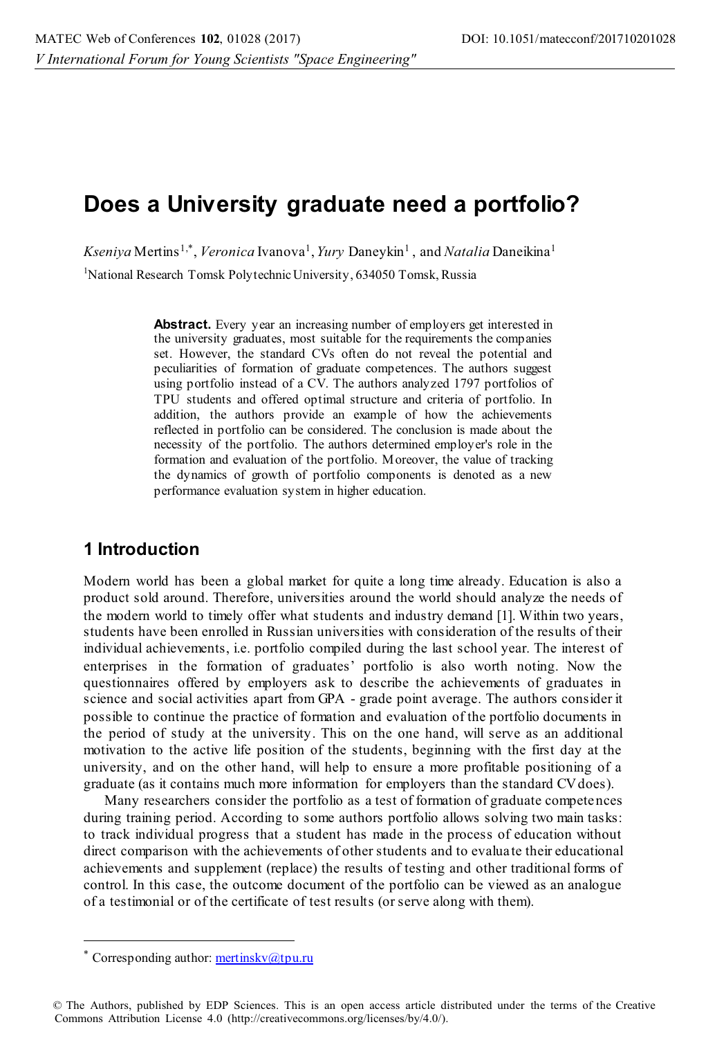# **Does a University graduate need a portfolio?**

*Kseniya* Mertins1,\*, *Veronica* Ivanova1, *Yury* Daneykin1 , and *Natalia* Daneikina1

<sup>1</sup>National Research Tomsk Polytechnic University, 634050 Tomsk, Russia

**Abstract.** Every year an increasing number of employers get interested in the university graduates, most suitable for the requirements the companies set. However, the standard CVs often do not reveal the potential and peculiarities of formation of graduate competences. The authors suggest using portfolio instead of a CV. The authors analyzed 1797 portfolios of TPU students and offered optimal structure and criteria of portfolio. In addition, the authors provide an example of how the achievements reflected in portfolio can be considered. The conclusion is made about the necessity of the portfolio. The authors determined employer's role in the formation and evaluation of the portfolio. Moreover, the value of tracking the dynamics of growth of portfolio components is denoted as a new performance evaluation system in higher education.

### **1 Introduction**

Modern world has been a global market for quite a long time already. Education is also a product sold around. Therefore, universities around the world should analyze the needs of the modern world to timely offer what students and industry demand [1]. Within two years, students have been enrolled in Russian universities with consideration of the results of their individual achievements, i.e. portfolio compiled during the last school year. The interest of enterprises in the formation of graduates' portfolio is also worth noting. Now the questionnaires offered by employers ask to describe the achievements of graduates in science and social activities apart from GPA - grade point average. The authors consider it possible to continue the practice of formation and evaluation of the portfolio documents in the period of study at the university. This on the one hand, will serve as an additional motivation to the active life position of the students, beginning with the first day at the university, and on the other hand, will help to ensure a more profitable positioning of a graduate (as it contains much more information for employers than the standard CV does).

Many researchers consider the portfolio as a test of formation of graduate competences during training period. According to some authors portfolio allows solving two main tasks: to track individual progress that a student has made in the process of education without direct comparison with the achievements of other students and to evaluate their educational achievements and supplement (replace) the results of testing and other traditional forms of control. In this case, the outcome document of the portfolio can be viewed as an analogue of a testimonial or of the certificate of test results (or serve along with them).

 $\overline{a}$ 

<sup>\*</sup> Corresponding author: mertinskv@tpu.ru

<sup>©</sup> The Authors, published by EDP Sciences. This is an open access article distributed under the terms of the Creative Commons Attribution License 4.0 (http://creativecommons.org/licenses/by/4.0/).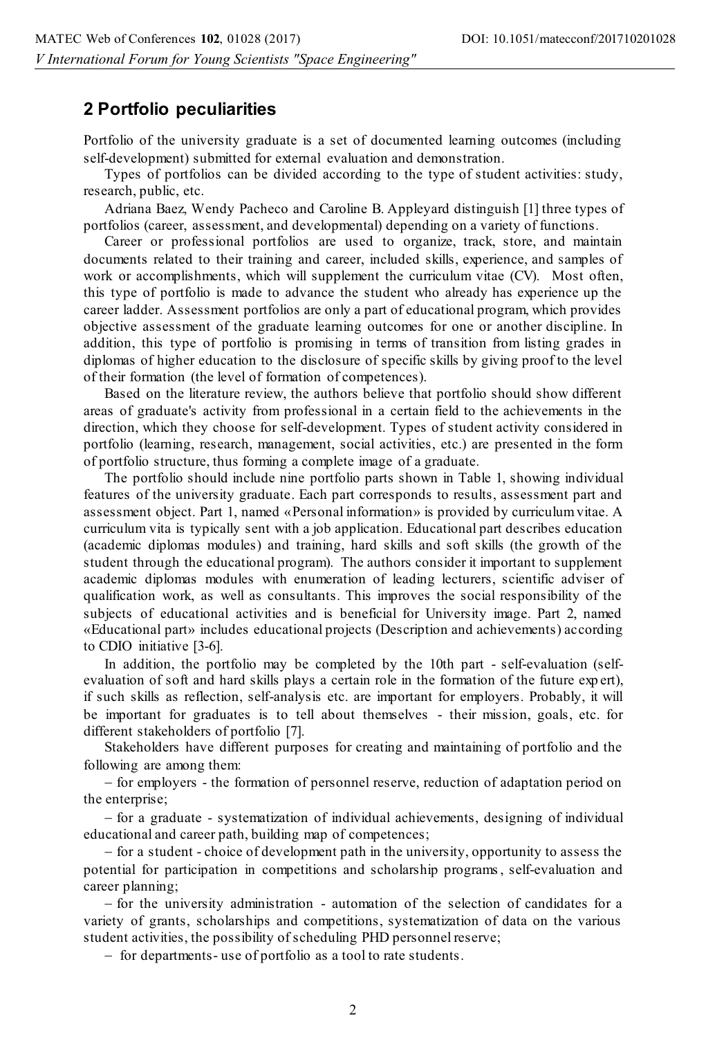## **2 Portfolio peculiarities**

Portfolio of the university graduate is a set of documented learning outcomes (including self-development) submitted for external evaluation and demonstration.

Types of portfolios can be divided according to the type of student activities: study, research, public, etc.

Adriana Baez, Wendy Pacheco and Caroline B. Appleyard distinguish [1] three types of portfolios (career, assessment, and developmental) depending on a variety of functions.

Career or professional portfolios are used to organize, track, store, and maintain documents related to their training and career, included skills, experience, and samples of work or accomplishments, which will supplement the curriculum vitae (CV). Most often, this type of portfolio is made to advance the student who already has experience up the career ladder. Assessment portfolios are only a part of educational program, which provides objective assessment of the graduate learning outcomes for one or another discipline. In addition, this type of portfolio is promising in terms of transition from listing grades in diplomas of higher education to the disclosure of specific skills by giving proof to the level of their formation (the level of formation of competences).

Based on the literature review, the authors believe that portfolio should show different areas of graduate's activity from professional in a certain field to the achievements in the direction, which they choose for self-development. Types of student activity considered in portfolio (learning, research, management, social activities, etc.) are presented in the form of portfolio structure, thus forming a complete image of a graduate.

The portfolio should include nine portfolio parts shown in Table 1, showing individual features of the university graduate. Each part corresponds to results, assessment part and assessment object. Part 1, named «Personal information» is provided by curriculum vitae. A curriculum vita is typically sent with a job application. Educational part describes education (academic diplomas modules) and training, hard skills and soft skills (the growth of the student through the educational program). The authors consider it important to supplement academic diplomas modules with enumeration of leading lecturers, scientific adviser of qualification work, as well as consultants. This improves the social responsibility of the subjects of educational activities and is beneficial for University image. Part 2, named «Educational part» includes educational projects (Description and achievements) according to CDIO initiative [3-6].

In addition, the portfolio may be completed by the 10th part - self-evaluation (selfevaluation of soft and hard skills plays a certain role in the formation of the future expert), if such skills as reflection, self-analysis etc. are important for employers. Probably, it will be important for graduates is to tell about themselves - their mission, goals, etc. for different stakeholders of portfolio [7].

Stakeholders have different purposes for creating and maintaining of portfolio and the following are among them:

- for employers - the formation of personnel reserve, reduction of adaptation period on the enterprise;

- for a graduate - systematization of individual achievements, designing of individual educational and career path, building map of competences;

- for a student - choice of development path in the university, opportunity to assess the potential for participation in competitions and scholarship programs , self-evaluation and career planning;

- for the university administration - automation of the selection of candidates for a variety of grants, scholarships and competitions, systematization of data on the various student activities, the possibility of scheduling PHD personnel reserve;

- for departments- use of portfolio as a tool to rate students.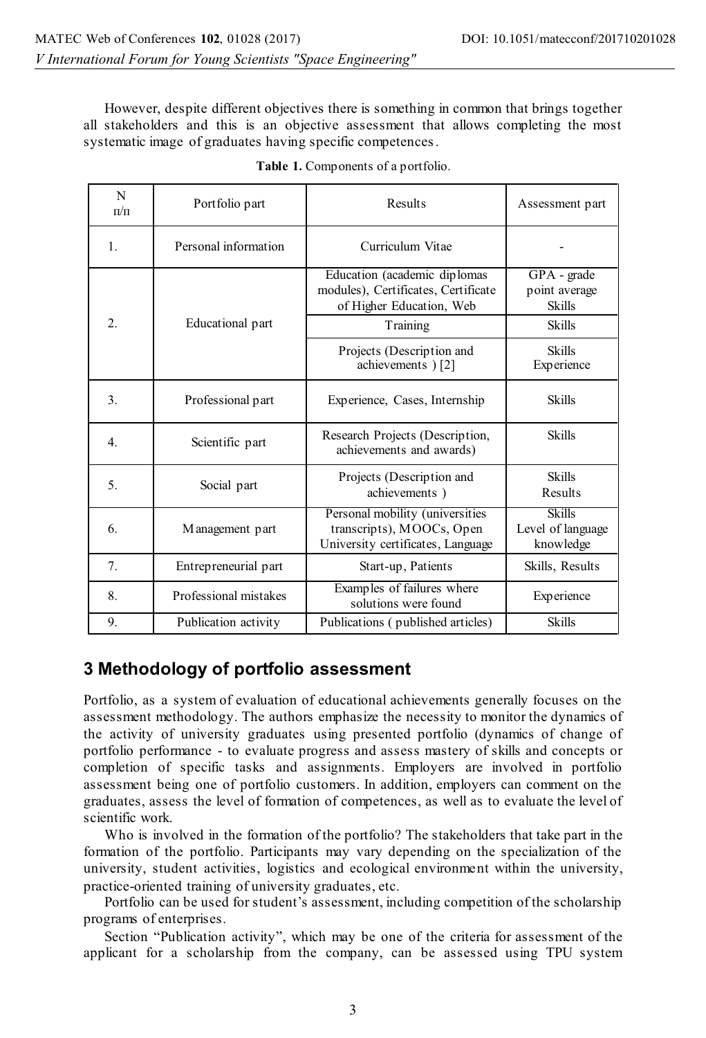However, despite different objectives there is something in common that brings together all stakeholders and this is an objective assessment that allows completing the most systematic image of graduates having specific competences .

| N<br>$\pi/\pi$ | Portfolio part        | Results                                                                                           | Assessment part                                 |
|----------------|-----------------------|---------------------------------------------------------------------------------------------------|-------------------------------------------------|
| 1.             | Personal information  | Curriculum Vitae                                                                                  |                                                 |
|                |                       | Education (academic diplomas<br>modules), Certificates, Certificate<br>of Higher Education, Web   | GPA - grade<br>point average<br><b>Skills</b>   |
| 2.             | Educational part      | Training                                                                                          | <b>Skills</b>                                   |
|                |                       | Projects (Description and<br>achievements)[2]                                                     | <b>Skills</b><br>Experience                     |
| 3.             | Professional part     | Experience, Cases, Internship                                                                     | <b>Skills</b>                                   |
| 4 <sup>1</sup> | Scientific part       | Research Projects (Description,<br>achievements and awards)                                       | <b>Skills</b>                                   |
| 5.             | Social part           | Projects (Description and<br>achievements)                                                        | <b>Skills</b><br>Results                        |
| 6.             | Management part       | Personal mobility (universities<br>transcripts), MOOCs, Open<br>University certificates, Language | <b>Skills</b><br>Level of language<br>knowledge |
| 7.             | Entrepreneurial part  | Start-up, Patients                                                                                | Skills, Results                                 |
| 8.             | Professional mistakes | Examples of failures where<br>solutions were found                                                | Experience                                      |
| 9.             | Publication activity  | Publications (published articles)                                                                 | <b>Skills</b>                                   |

|  |  | <b>Table 1.</b> Components of a portfolio. |
|--|--|--------------------------------------------|
|--|--|--------------------------------------------|

#### **3 Methodology of portfolio assessment**

Portfolio, as a system of evaluation of educational achievements generally focuses on the assessment methodology. The authors emphasize the necessity to monitor the dynamics of the activity of university graduates using presented portfolio (dynamics of change of portfolio performance - to evaluate progress and assess mastery of skills and concepts or completion of specific tasks and assignments. Employers are involved in portfolio assessment being one of portfolio customers. In addition, employers can comment on the graduates, assess the level of formation of competences, as well as to evaluate the level of scientific work.

Who is involved in the formation of the portfolio? The stakeholders that take part in the formation of the portfolio. Participants may vary depending on the specialization of the university, student activities, logistics and ecological environment within the university, practice-oriented training of university graduates, etc.

Portfolio can be used for student's assessment, including competition of the scholarship programs of enterprises.

Section "Publication activity", which may be one of the criteria for assessment of the applicant for a scholarship from the company, can be assessed using TPU system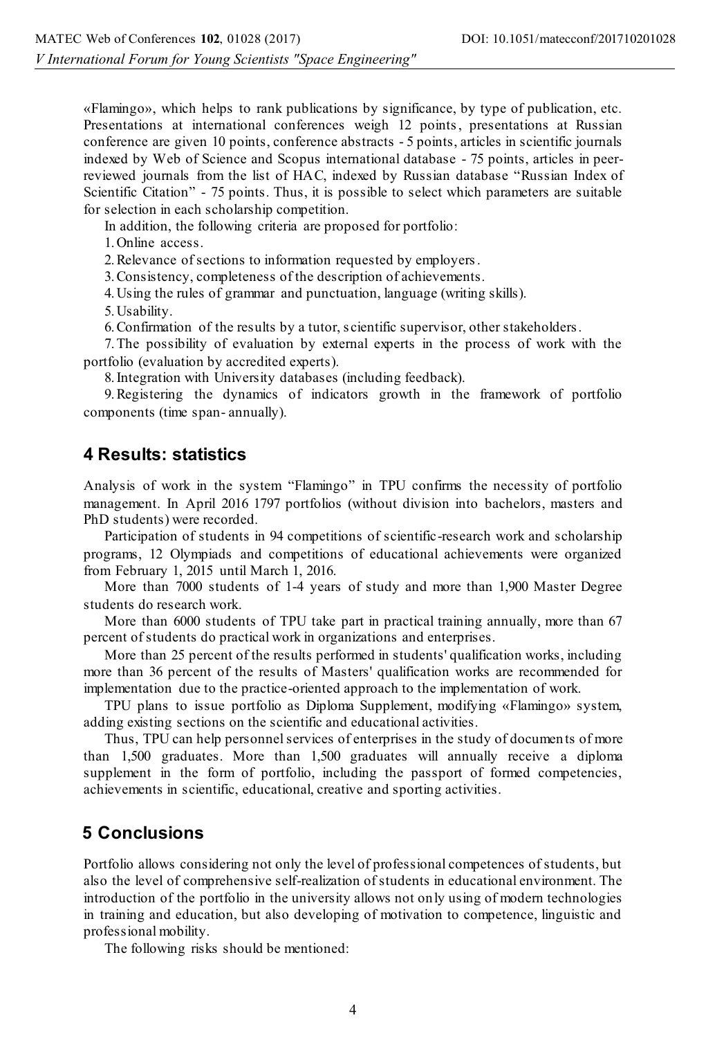«Flamingo», which helps to rank publications by significance, by type of publication, etc. Presentations at international conferences weigh 12 points, presentations at Russian conference are given 10 points, conference abstracts - 5 points, articles in scientific journals indexed by Web of Science and Scopus international database - 75 points, articles in peerreviewed journals from the list of HAC, indexed by Russian database "Russian Index of Scientific Citation" - 75 points. Thus, it is possible to select which parameters are suitable for selection in each scholarship competition.

In addition, the following criteria are proposed for portfolio:

1.Online access.

2.Relevance of sections to information requested by employers .

3.Consistency, completeness of the description of achievements.

4.Using the rules of grammar and punctuation, language (writing skills).

5.Usability.

6.Confirmation of the results by a tutor, scientific supervisor, other stakeholders.

7.The possibility of evaluation by external experts in the process of work with the portfolio (evaluation by accredited experts).

8.Integration with University databases (including feedback).

9.Registering the dynamics of indicators growth in the framework of portfolio components (time span- annually).

#### **4 Results: statistics**

Analysis of work in the system "Flamingo" in TPU confirms the necessity of portfolio management. In April 2016 1797 portfolios (without division into bachelors, masters and PhD students) were recorded.

Participation of students in 94 competitions of scientific-research work and scholarship programs, 12 Olympiads and competitions of educational achievements were organized from February 1, 2015 until March 1, 2016.

More than 7000 students of 1-4 years of study and more than 1,900 Master Degree students do research work.

More than 6000 students of TPU take part in practical training annually, more than 67 percent of students do practical work in organizations and enterprises.

More than 25 percent of the results performed in students' qualification works, including more than 36 percent of the results of Masters' qualification works are recommended for implementation due to the practice-oriented approach to the implementation of work.

TPU plans to issue portfolio as Diploma Supplement, modifying «Flamingo» system, adding existing sections on the scientific and educational activities.

Thus, TPU can help personnel services of enterprises in the study of documen ts of more than 1,500 graduates. More than 1,500 graduates will annually receive a diploma supplement in the form of portfolio, including the passport of formed competencies, achievements in scientific, educational, creative and sporting activities.

#### **Conclusions 5**

Portfolio allows considering not only the level of professional competences of students, but also the level of comprehensive self-realization of students in educational environment. The introduction of the portfolio in the university allows not only using of modern technologies in training and education, but also developing of motivation to competence, linguistic and professional mobility.

The following risks should be mentioned: